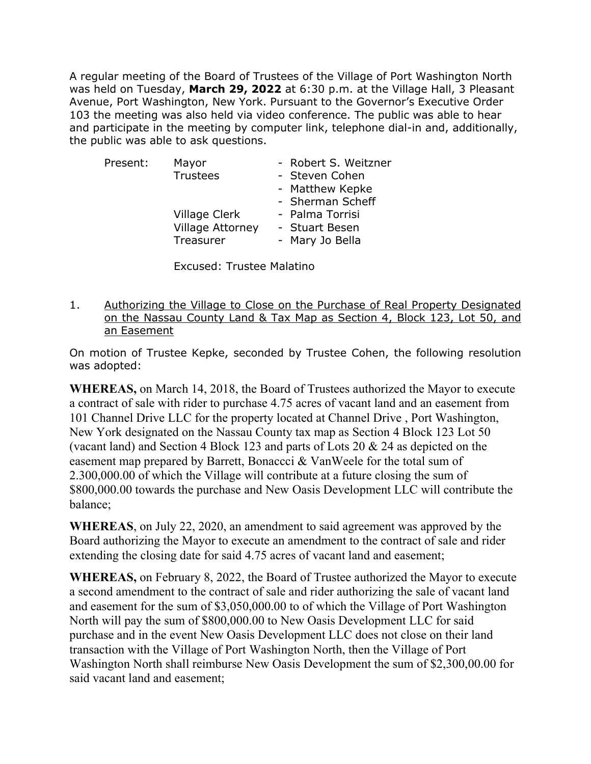A regular meeting of the Board of Trustees of the Village of Port Washington North was held on Tuesday, **March 29, 2022** at 6:30 p.m. at the Village Hall, 3 Pleasant Avenue, Port Washington, New York. Pursuant to the Governor's Executive Order 103 the meeting was also held via video conference. The public was able to hear and participate in the meeting by computer link, telephone dial-in and, additionally, the public was able to ask questions.

| Present: | Mayor                   | - Robert S. Weitzner |
|----------|-------------------------|----------------------|
|          | Trustees                | - Steven Cohen       |
|          |                         | - Matthew Kepke      |
|          |                         | - Sherman Scheff     |
|          | Village Clerk           | - Palma Torrisi      |
|          | <b>Village Attorney</b> | - Stuart Besen       |
|          | Treasurer               | - Mary Jo Bella      |
|          |                         |                      |

Excused: Trustee Malatino

1. Authorizing the Village to Close on the Purchase of Real Property Designated on the Nassau County Land & Tax Map as Section 4, Block 123, Lot 50, and an Easement

On motion of Trustee Kepke, seconded by Trustee Cohen, the following resolution was adopted:

**WHEREAS,** on March 14, 2018, the Board of Trustees authorized the Mayor to execute a contract of sale with rider to purchase 4.75 acres of vacant land and an easement from 101 Channel Drive LLC for the property located at Channel Drive , Port Washington, New York designated on the Nassau County tax map as Section 4 Block 123 Lot 50 (vacant land) and Section 4 Block 123 and parts of Lots 20 & 24 as depicted on the easement map prepared by Barrett, Bonaccci & VanWeele for the total sum of 2.300,000.00 of which the Village will contribute at a future closing the sum of \$800,000.00 towards the purchase and New Oasis Development LLC will contribute the balance;

**WHEREAS**, on July 22, 2020, an amendment to said agreement was approved by the Board authorizing the Mayor to execute an amendment to the contract of sale and rider extending the closing date for said 4.75 acres of vacant land and easement;

**WHEREAS,** on February 8, 2022, the Board of Trustee authorized the Mayor to execute a second amendment to the contract of sale and rider authorizing the sale of vacant land and easement for the sum of \$3,050,000.00 to of which the Village of Port Washington North will pay the sum of \$800,000.00 to New Oasis Development LLC for said purchase and in the event New Oasis Development LLC does not close on their land transaction with the Village of Port Washington North, then the Village of Port Washington North shall reimburse New Oasis Development the sum of \$2,300,00.00 for said vacant land and easement;